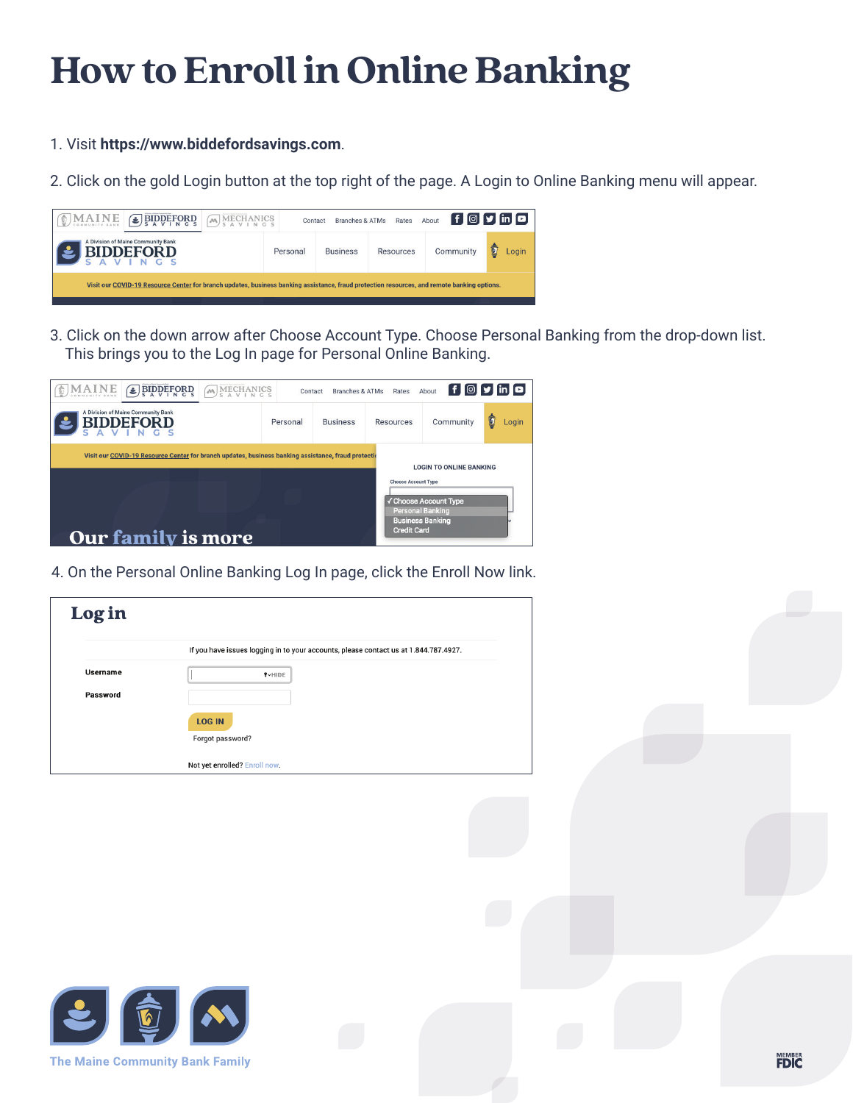## **How to Enroll in Online Banking**

- 1. Visit **https://www.biddefordsavings.com**.
- 2. Click on the gold Login button at the top right of the page. A Login to Online Banking menu will appear.

| MAINE<br>$\bigoplus$ BIDDEFORD                                                                                                              | <b>MECHANICS</b> | Contact  | Branches & ATMs | Rates     | About     | $\mathbf{f}$ $\mathbf{v}$ in $\mathbf{a}$ |
|---------------------------------------------------------------------------------------------------------------------------------------------|------------------|----------|-----------------|-----------|-----------|-------------------------------------------|
| A Division of Maine Community Bank<br><b>BIDDEFORD</b>                                                                                      |                  | Personal | <b>Business</b> | Resources | Community | Ô<br>Login                                |
| Visit our COVID-19 Resource Center for branch updates, business banking assistance, fraud protection resources, and remote banking options. |                  |          |                 |           |           |                                           |

3. Click on the down arrow after Choose Account Type. Choose Personal Banking from the drop-down list. This brings you to the Log In page for Personal Online Banking.



4. On the Personal Online Banking Log In page, click the Enroll Now link.

| Login    |                                                                                      |
|----------|--------------------------------------------------------------------------------------|
|          | If you have issues logging in to your accounts, please contact us at 1.844.787.4927. |
| Username | <b>IVHIDE</b>                                                                        |
| Password |                                                                                      |
|          | <b>LOG IN</b>                                                                        |
|          | Forgot password?                                                                     |
|          | Not yet enrolled? Enroll now.                                                        |



**The Maine Community Bank Family**